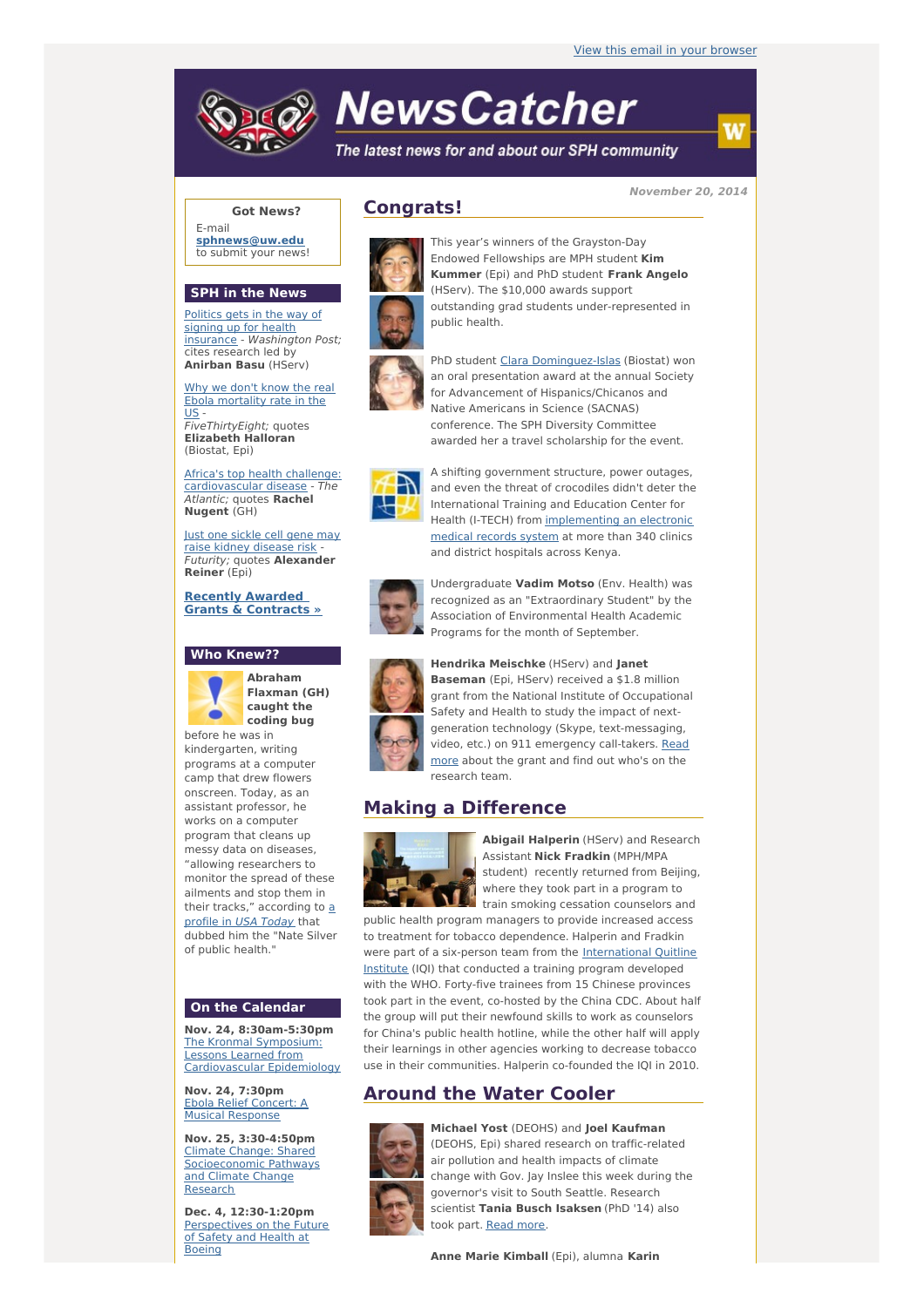

# **NewsCatcher**

The latest news for and about our SPH community

**November 20, 2014**

Ŵ

## **Got News?**

E-mail **[sphnews@uw.edu](mailto:sphnews@uw.edu)** to submit your news!

#### **SPH in the News**

Politics gets in the way of signing up for health insurance - [Washington](http://engage.washington.edu/site/R?i=jqyvR32YQC_tAPmkx4ZkiA) Post; cites research led by **Anirban Basu** (HServ)

Why we don't know the real Ebola [mortality](http://engage.washington.edu/site/R?i=0FQzbcJuDQlwA8-5GdAzvQ) rate in the  $\overline{US}$ FiveThirtyEight; quotes **Elizabeth Halloran** (Biostat, Epi)

Africa's top health challenge: [cardiovascular](http://engage.washington.edu/site/R?i=oJ8PkTSxdc4Zmu-987oD6g) disease - The Atlantic; quotes **Rachel Nugent** (GH)

Just one sickle cell gene may raise kidney [disease](http://engage.washington.edu/site/R?i=NS7FF8PUwvWh3pBRqDUM3A) risk - Futurity; quotes **Alexander Reiner** (Epi)

**Recently Awarded Grants & [Contracts](http://engage.washington.edu/site/R?i=Dbi_L6LM4Gd2RWDAzfmGhQ) »**

### **Who Knew??**



**Flaxman (GH) caught the coding bug**

before he was in kindergarten, writing programs at a computer camp that drew flowers onscreen. Today, as an assistant professor, he works on a computer program that cleans up messy data on diseases, "allowing researchers to monitor the spread of these ailments and stop them in their tracks," [according](http://engage.washington.edu/site/R?i=dFoqINsjDRXiPgjYVev6wA) to  $a$ profile in USA Today that dubbed him the "Nate Silver of public health."

### **On the Calendar**

**Nov. 24, 8:30am-5:30pm** The Kronmal Symposium: Lessons Learned from [Cardiovascular](http://engage.washington.edu/site/R?i=krnyo6POIV5RJdtn9SJFSw) Epidemiology

**Nov. 24, 7:30pm** Ebola Relief Concert: A Musical [Response](http://engage.washington.edu/site/R?i=GSGTRPFYkgJ9HjvahJFqxg)

**Nov. 25, 3:30-4:50pm** Climate Change: Shared [Socioeconomic](http://engage.washington.edu/site/R?i=dNUnPyTy9aBdAhrmC99CXg) Pathways and Climate Change Research

**Dec. 4, 12:30-1:20pm** [Perspectives](http://engage.washington.edu/site/R?i=ZgnD_eHlcdXM39dllL4jCw) on the Future of Safety and Health at Boeing

## **Congrats!**



This year's winners of the Grayston-Day Endowed Fellowships are MPH student **Kim Kummer** (Epi) and PhD student **Frank Angelo** (HServ). The \$10,000 awards support outstanding grad students under-represented in public health.



PhD student Clara [Dominguez-Islas](http://engage.washington.edu/site/R?i=iXMugMf7W7vj8BwKDX3-Jg) (Biostat) won an oral presentation award at the annual Society for Advancement of Hispanics/Chicanos and Native Americans in Science (SACNAS) conference. The SPH Diversity Committee awarded her a travel scholarship for the event.



A shifting government structure, power outages, and even the threat of crocodiles didn't deter the International Training and Education Center for Health (I-TECH) from [implementing](http://engage.washington.edu/site/R?i=xbskAFCHk8pjna8KVv9i-g) an electronic medical records system at more than 340 clinics and district hospitals across Kenya.



Undergraduate **Vadim Motso** (Env. Health) was recognized as an "Extraordinary Student" by the Association of Environmental Health Academic Programs for the month of September.



**Hendrika Meischke** (HServ) and **Janet Baseman** (Epi, HServ) received a \$1.8 million grant from the National Institute of Occupational Safety and Health to study the impact of nextgeneration technology (Skype, text-messaging, video, etc.) on 911 [emergency](http://engage.washington.edu/site/R?i=L2Z1EJcaKBUY1FRsATUCpQ) call-takers. Read more about the grant and find out who's on the research team.

## **Making a Difference**



**Abigail Halperin** (HServ) and Research Assistant **Nick Fradkin** (MPH/MPA student) recently returned from Beijing, where they took part in a program to train smoking cessation counselors and

public health program managers to provide increased access to treatment for tobacco dependence. Halperin and Fradkin were part of a six-person team from the [International](http://engage.washington.edu/site/R?i=HPTGNsDOk_TanJC_i4HQMg) Quitline Institute (IQI) that conducted a training program developed with the WHO. Forty-five trainees from 15 Chinese provinces took part in the event, co-hosted by the China CDC. About half the group will put their newfound skills to work as counselors for China's public health hotline, while the other half will apply their learnings in other agencies working to decrease tobacco use in their communities. Halperin co-founded the IQI in 2010.

# **Around the Water Cooler**



**Michael Yost** (DEOHS) and **Joel Kaufman** (DEOHS, Epi) shared research on traffic-related air pollution and health impacts of climate change with Gov. Jay Inslee this week during the governor's visit to South Seattle. Research scientist **Tania Busch Isaksen** (PhD '14) also took part. [Read](http://engage.washington.edu/site/R?i=LOjcmdUqrl5ew3rOxEU_ug) more.

**Anne Marie Kimball** (Epi), alumna **Karin**